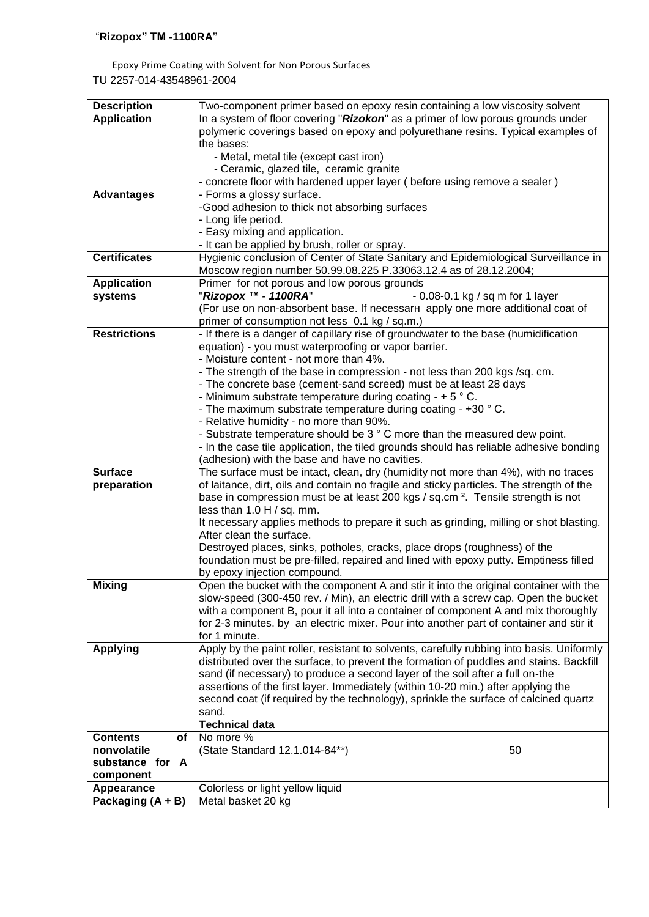Epoxy Prime Coating with Solvent for Non Porous Surfaces TU 2257-014-43548961-2004

| <b>Description</b>                | Two-component primer based on epoxy resin containing a low viscosity solvent                                                                                                   |  |  |
|-----------------------------------|--------------------------------------------------------------------------------------------------------------------------------------------------------------------------------|--|--|
| <b>Application</b>                | In a system of floor covering "Rizokon" as a primer of low porous grounds under                                                                                                |  |  |
|                                   | polymeric coverings based on epoxy and polyurethane resins. Typical examples of                                                                                                |  |  |
|                                   | the bases:                                                                                                                                                                     |  |  |
|                                   | - Metal, metal tile (except cast iron)                                                                                                                                         |  |  |
|                                   | - Ceramic, glazed tile, ceramic granite                                                                                                                                        |  |  |
|                                   | - concrete floor with hardened upper layer (before using remove a sealer)                                                                                                      |  |  |
| <b>Advantages</b>                 | - Forms a glossy surface.                                                                                                                                                      |  |  |
|                                   | -Good adhesion to thick not absorbing surfaces                                                                                                                                 |  |  |
|                                   | - Long life period.                                                                                                                                                            |  |  |
|                                   | - Easy mixing and application.                                                                                                                                                 |  |  |
|                                   | - It can be applied by brush, roller or spray.                                                                                                                                 |  |  |
| <b>Certificates</b>               | Hygienic conclusion of Center of State Sanitary and Epidemiological Surveillance in                                                                                            |  |  |
|                                   | Moscow region number 50.99.08.225 P.33063.12.4 as of 28.12.2004;                                                                                                               |  |  |
| <b>Application</b>                | Primer for not porous and low porous grounds                                                                                                                                   |  |  |
| systems                           | "Rizopox ™ - 1100RA"<br>- 0.08-0.1 kg / sq m for 1 layer                                                                                                                       |  |  |
|                                   | (For use on non-absorbent base. If necessar  apply one more additional coat of                                                                                                 |  |  |
|                                   | primer of consumption not less 0.1 kg / sq.m.)                                                                                                                                 |  |  |
| <b>Restrictions</b>               | - If there is a danger of capillary rise of groundwater to the base (humidification                                                                                            |  |  |
|                                   | equation) - you must waterproofing or vapor barrier.                                                                                                                           |  |  |
|                                   | - Moisture content - not more than 4%.                                                                                                                                         |  |  |
|                                   | - The strength of the base in compression - not less than 200 kgs /sq. cm.                                                                                                     |  |  |
|                                   | - The concrete base (cement-sand screed) must be at least 28 days                                                                                                              |  |  |
|                                   | - Minimum substrate temperature during coating - $+5$ $^{\circ}$ C.                                                                                                            |  |  |
|                                   | - The maximum substrate temperature during coating - +30 °C.                                                                                                                   |  |  |
|                                   | - Relative humidity - no more than 90%.                                                                                                                                        |  |  |
|                                   | - Substrate temperature should be 3 ° C more than the measured dew point.                                                                                                      |  |  |
|                                   | - In the case tile application, the tiled grounds should has reliable adhesive bonding                                                                                         |  |  |
|                                   | (adhesion) with the base and have no cavities.                                                                                                                                 |  |  |
| <b>Surface</b>                    | The surface must be intact, clean, dry (humidity not more than 4%), with no traces<br>of laitance, dirt, oils and contain no fragile and sticky particles. The strength of the |  |  |
| preparation                       | base in compression must be at least 200 kgs / sq.cm <sup>2</sup> . Tensile strength is not                                                                                    |  |  |
|                                   | less than $1.0$ H $/$ sq. mm.                                                                                                                                                  |  |  |
|                                   | It necessary applies methods to prepare it such as grinding, milling or shot blasting.                                                                                         |  |  |
|                                   | After clean the surface.                                                                                                                                                       |  |  |
|                                   | Destroyed places, sinks, potholes, cracks, place drops (roughness) of the                                                                                                      |  |  |
|                                   | foundation must be pre-filled, repaired and lined with epoxy putty. Emptiness filled                                                                                           |  |  |
|                                   | by epoxy injection compound.                                                                                                                                                   |  |  |
| <b>Mixing</b>                     | Open the bucket with the component A and stir it into the original container with the                                                                                          |  |  |
|                                   | slow-speed (300-450 rev. / Min), an electric drill with a screw cap. Open the bucket                                                                                           |  |  |
|                                   | with a component B, pour it all into a container of component A and mix thoroughly                                                                                             |  |  |
|                                   | for 2-3 minutes. by an electric mixer. Pour into another part of container and stir it                                                                                         |  |  |
|                                   | for 1 minute.                                                                                                                                                                  |  |  |
| <b>Applying</b>                   | Apply by the paint roller, resistant to solvents, carefully rubbing into basis. Uniformly                                                                                      |  |  |
|                                   | distributed over the surface, to prevent the formation of puddles and stains. Backfill                                                                                         |  |  |
|                                   | sand (if necessary) to produce a second layer of the soil after a full on-the                                                                                                  |  |  |
|                                   | assertions of the first layer. Immediately (within 10-20 min.) after applying the                                                                                              |  |  |
|                                   | second coat (if required by the technology), sprinkle the surface of calcined quartz                                                                                           |  |  |
|                                   | sand.                                                                                                                                                                          |  |  |
|                                   | <b>Technical data</b>                                                                                                                                                          |  |  |
| <b>Contents</b><br>оf             | No more %                                                                                                                                                                      |  |  |
| nonvolatile                       | (State Standard 12.1.014-84**)<br>50                                                                                                                                           |  |  |
| substance for A                   |                                                                                                                                                                                |  |  |
| component                         |                                                                                                                                                                                |  |  |
| Appearance<br>Packaging $(A + B)$ | Colorless or light yellow liquid<br>Metal basket 20 kg                                                                                                                         |  |  |
|                                   |                                                                                                                                                                                |  |  |